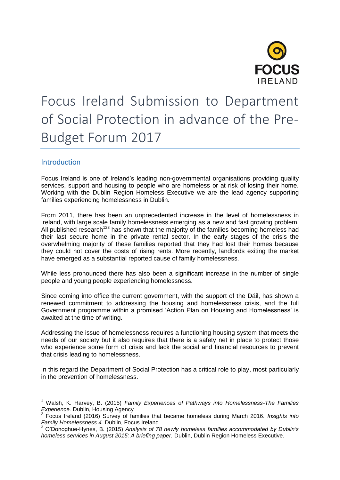

# Focus Ireland Submission to Department of Social Protection in advance of the Pre-Budget Forum 2017

# **Introduction**

-

Focus Ireland is one of Ireland's leading non-governmental organisations providing quality services, support and housing to people who are homeless or at risk of losing their home. Working with the Dublin Region Homeless Executive we are the lead agency supporting families experiencing homelessness in Dublin.

From 2011, there has been an unprecedented increase in the level of homelessness in Ireland, with large scale family homelessness emerging as a new and fast growing problem. All published research<sup>123</sup> has shown that the majority of the families becoming homeless had their last secure home in the private rental sector. In the early stages of the crisis the overwhelming majority of these families reported that they had lost their homes because they could not cover the costs of rising rents. More recently, landlords exiting the market have emerged as a substantial reported cause of family homelessness.

While less pronounced there has also been a significant increase in the number of single people and young people experiencing homelessness.

Since coming into office the current government, with the support of the Dáil, has shown a renewed commitment to addressing the housing and homelessness crisis, and the full Government programme within a promised 'Action Plan on Housing and Homelessness' is awaited at the time of writing.

Addressing the issue of homelessness requires a functioning housing system that meets the needs of our society but it also requires that there is a safety net in place to protect those who experience some form of crisis and lack the social and financial resources to prevent that crisis leading to homelessness.

In this regard the Department of Social Protection has a critical role to play, most particularly in the prevention of homelessness.

<sup>1</sup> Walsh, K. Harvey, B. (2015) *Family Experiences of Pathways into Homelessness-The Families* 

*Experience.* Dublin, Housing Agency 2 Focus Ireland (2016) Survey of families that became homeless during March 2016. *Insights into Family Homelessness 4.* Dublin, Focus Ireland.

<sup>3</sup> O'Donoghue-Hynes, B. (2015) *Analysis of 78 newly homeless families accommodated by Dublin's homeless services in August 2015: A briefing paper.* Dublin, Dublin Region Homeless Executive.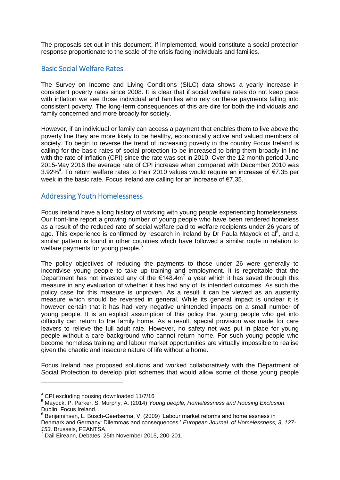The proposals set out in this document, if implemented, would constitute a social protection response proportionate to the scale of the crisis facing individuals and families.

## Basic Social Welfare Rates

The Survey on Income and Living Conditions (SILC) data shows a yearly increase in consistent poverty rates since 2008. It is clear that if social welfare rates do not keep pace with inflation we see those individual and families who rely on these payments falling into consistent poverty. The long-term consequences of this are dire for both the individuals and family concerned and more broadly for society.

However, if an individual or family can access a payment that enables them to live above the poverty line they are more likely to be healthy, economically active and valued members of society. To begin to reverse the trend of increasing poverty in the country Focus Ireland is calling for the basic rates of social protection to be increased to bring them broadly in line with the rate of inflation (CPI) since the rate was set in 2010. Over the 12 month period June 2015-May 2016 the average rate of CPI increase when compared with December 2010 was 3.92%<sup>4</sup>. To return welfare rates to their 2010 values would require an increase of €7.35 per week in the basic rate. Focus Ireland are calling for an increase of €7.35.

## Addressing Youth Homelessness

Focus Ireland have a long history of working with young people experiencing homelessness. Our front-line report a growing number of young people who have been rendered homeless as a result of the reduced rate of social welfare paid to welfare recipients under 26 years of age. This experience is confirmed by research in Ireland by Dr Paula Mayock et al<sup>5</sup>, and a similar pattern is found in other countries which have followed a similar route in relation to welfare payments for young people.<sup>6</sup>

The policy objectives of reducing the payments to those under 26 were generally to incentivise young people to take up training and employment. It is regrettable that the Department has not invested any of the  $\epsilon$ 148.4m<sup>7</sup> a year which it has saved through this measure in any evaluation of whether it has had any of its intended outcomes. As such the policy case for this measure is unproven. As a result it can be viewed as an austerity measure which should be reversed in general. While its general impact is unclear it is however certain that it has had very negative unintended impacts on a small number of young people. It is an explicit assumption of this policy that young people who get into difficulty can return to the family home. As a result, special provision was made for care leavers to relieve the full adult rate. However, no safety net was put in place for young people without a care background who cannot return home. For such young people who become homeless training and labour market opportunities are virtually impossible to realise given the chaotic and insecure nature of life without a home.

Focus Ireland has proposed solutions and worked collaboratively with the Department of Social Protection to develop pilot schemes that would allow some of those young people

-

<sup>4</sup> CPI excluding housing downloaded 11/7/16

<sup>5</sup> Mayock, P. Parker, S. Murphy, A. (2014) *Young people, Homelessness and Housing Exclusion.* Dublin, Focus Ireland.

<sup>6</sup> Benjaminsen, L. Busch-Geertsema, V. (2009) 'Labour market reforms and homelessness in Denmark and Germany: Dilemmas and consequences.' *European Journal of Homelessness, 3, 127- 153,* Brussels, FEANTSA.

<sup>7</sup> Dail Eireann, Debates, 25th November 2015, 200-201.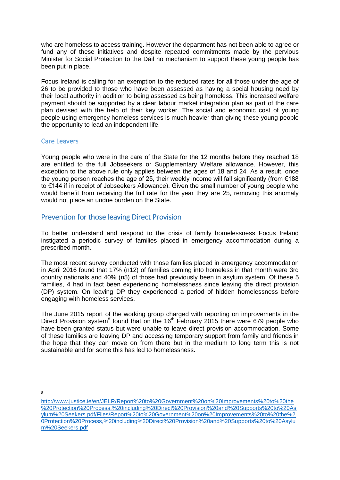who are homeless to access training. However the department has not been able to agree or fund any of these initiatives and despite repeated commitments made by the pervious Minister for Social Protection to the Dáil no mechanism to support these young people has been put in place.

Focus Ireland is calling for an exemption to the reduced rates for all those under the age of 26 to be provided to those who have been assessed as having a social housing need by their local authority in addition to being assessed as being homeless. This increased welfare payment should be supported by a clear labour market integration plan as part of the care plan devised with the help of their key worker. The social and economic cost of young people using emergency homeless services is much heavier than giving these young people the opportunity to lead an independent life.

#### Care Leavers

Young people who were in the care of the State for the 12 months before they reached 18 are entitled to the full Jobseekers or Supplementary Welfare allowance. However, this exception to the above rule only applies between the ages of 18 and 24. As a result, once the young person reaches the age of 25, their weekly income will fall significantly (from €188 to €144 if in receipt of Jobseekers Allowance). Given the small number of young people who would benefit from receiving the full rate for the year they are 25, removing this anomaly would not place an undue burden on the State.

## Prevention for those leaving Direct Provision

To better understand and respond to the crisis of family homelessness Focus Ireland instigated a periodic survey of families placed in emergency accommodation during a prescribed month.

The most recent survey conducted with those families placed in emergency accommodation in April 2016 found that 17% (n12) of families coming into homeless in that month were 3rd country nationals and 40% (n5) of those had previously been in asylum system. Of these 5 families, 4 had in fact been experiencing homelessness since leaving the direct provision (DP) system. On leaving DP they experienced a period of hidden homelessness before engaging with homeless services.

The June 2015 report of the working group charged with reporting on improvements in the Direct Provision system $^8$  found that on the 16<sup>th</sup> February 2015 there were 679 people who have been granted status but were unable to leave direct provision accommodation. Some of these families are leaving DP and accessing temporary support from family and friends in the hope that they can move on from there but in the medium to long term this is not sustainable and for some this has led to homelessness.

8

-

[http://www.justice.ie/en/JELR/Report%20to%20Government%20on%20Improvements%20to%20the](http://www.justice.ie/en/JELR/Report%20to%20Government%20on%20Improvements%20to%20the%20Protection%20Process,%20including%20Direct%20Provision%20and%20Supports%20to%20Asylum%20Seekers.pdf/Files/Report%20to%20Government%20on%20Improvements%20to%20the%20Protection%20Process,%20including%20Direct%20Provision%20and%20Supports%20to%20Asylum%20Seekers.pdf) [%20Protection%20Process,%20including%20Direct%20Provision%20and%20Supports%20to%20As](http://www.justice.ie/en/JELR/Report%20to%20Government%20on%20Improvements%20to%20the%20Protection%20Process,%20including%20Direct%20Provision%20and%20Supports%20to%20Asylum%20Seekers.pdf/Files/Report%20to%20Government%20on%20Improvements%20to%20the%20Protection%20Process,%20including%20Direct%20Provision%20and%20Supports%20to%20Asylum%20Seekers.pdf) [ylum%20Seekers.pdf/Files/Report%20to%20Government%20on%20Improvements%20to%20the%2](http://www.justice.ie/en/JELR/Report%20to%20Government%20on%20Improvements%20to%20the%20Protection%20Process,%20including%20Direct%20Provision%20and%20Supports%20to%20Asylum%20Seekers.pdf/Files/Report%20to%20Government%20on%20Improvements%20to%20the%20Protection%20Process,%20including%20Direct%20Provision%20and%20Supports%20to%20Asylum%20Seekers.pdf) [0Protection%20Process,%20including%20Direct%20Provision%20and%20Supports%20to%20Asylu](http://www.justice.ie/en/JELR/Report%20to%20Government%20on%20Improvements%20to%20the%20Protection%20Process,%20including%20Direct%20Provision%20and%20Supports%20to%20Asylum%20Seekers.pdf/Files/Report%20to%20Government%20on%20Improvements%20to%20the%20Protection%20Process,%20including%20Direct%20Provision%20and%20Supports%20to%20Asylum%20Seekers.pdf) [m%20Seekers.pdf](http://www.justice.ie/en/JELR/Report%20to%20Government%20on%20Improvements%20to%20the%20Protection%20Process,%20including%20Direct%20Provision%20and%20Supports%20to%20Asylum%20Seekers.pdf/Files/Report%20to%20Government%20on%20Improvements%20to%20the%20Protection%20Process,%20including%20Direct%20Provision%20and%20Supports%20to%20Asylum%20Seekers.pdf)